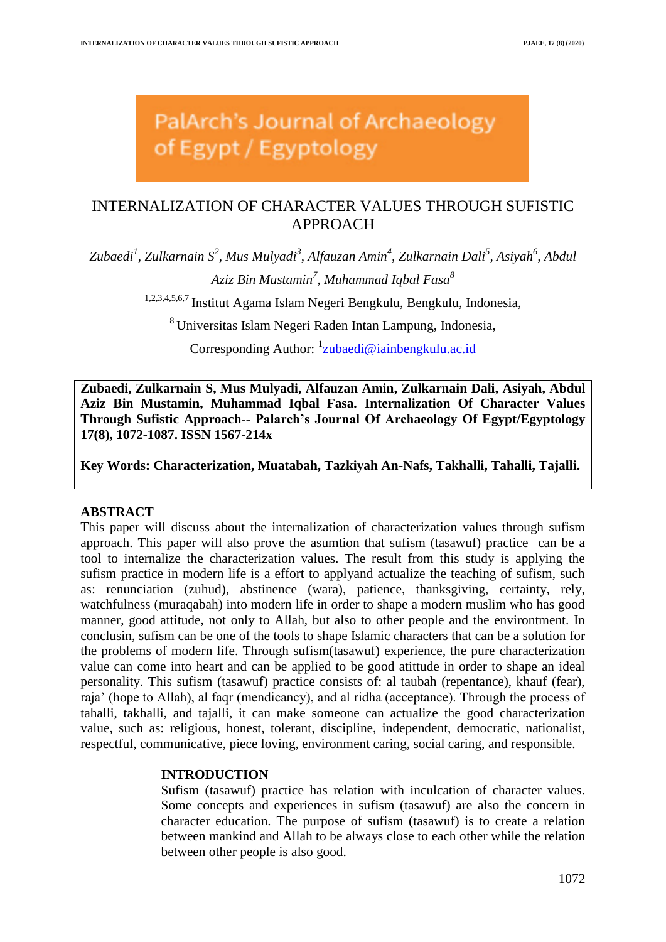# PalArch's Journal of Archaeology of Egypt / Egyptology

## INTERNALIZATION OF CHARACTER VALUES THROUGH SUFISTIC APPROACH

*Zubaedi<sup>1</sup> , Zulkarnain S<sup>2</sup> , Mus Mulyadi<sup>3</sup> , Alfauzan Amin<sup>4</sup> , Zulkarnain Dali<sup>5</sup> , Asiyah<sup>6</sup> , Abdul Aziz Bin Mustamin<sup>7</sup> , Muhammad Iqbal Fasa<sup>8</sup>*

1,2,3,4,5,6,7 Institut Agama Islam Negeri Bengkulu, Bengkulu, Indonesia,

<sup>8</sup> Universitas Islam Negeri Raden Intan Lampung, Indonesia,

Corresponding Author: <sup>1</sup>[zubaedi@iainbengkulu.ac.id](mailto:zubaedi@iainbengkulu.ac.id)

**Zubaedi, Zulkarnain S, Mus Mulyadi, Alfauzan Amin, Zulkarnain Dali, Asiyah, Abdul Aziz Bin Mustamin, Muhammad Iqbal Fasa. Internalization Of Character Values Through Sufistic Approach-- Palarch's Journal Of Archaeology Of Egypt/Egyptology 17(8), 1072-1087. ISSN 1567-214x**

**Key Words: Characterization, Muatabah, Tazkiyah An-Nafs, Takhalli, Tahalli, Tajalli.**

## **ABSTRACT**

This paper will discuss about the internalization of characterization values through sufism approach. This paper will also prove the asumtion that sufism (tasawuf) practice can be a tool to internalize the characterization values. The result from this study is applying the sufism practice in modern life is a effort to applyand actualize the teaching of sufism, such as: renunciation (zuhud), abstinence (wara), patience, thanksgiving, certainty, rely, watchfulness (muraqabah) into modern life in order to shape a modern muslim who has good manner, good attitude, not only to Allah, but also to other people and the environtment. In conclusin, sufism can be one of the tools to shape Islamic characters that can be a solution for the problems of modern life. Through sufism(tasawuf) experience, the pure characterization value can come into heart and can be applied to be good atittude in order to shape an ideal personality. This sufism (tasawuf) practice consists of: al taubah (repentance), khauf (fear), raja" (hope to Allah), al faqr (mendicancy), and al ridha (acceptance). Through the process of tahalli, takhalli, and tajalli, it can make someone can actualize the good characterization value, such as: religious, honest, tolerant, discipline, independent, democratic, nationalist, respectful, communicative, piece loving, environment caring, social caring, and responsible.

## **INTRODUCTION**

Sufism (tasawuf) practice has relation with inculcation of character values. Some concepts and experiences in sufism (tasawuf) are also the concern in character education. The purpose of sufism (tasawuf) is to create a relation between mankind and Allah to be always close to each other while the relation between other people is also good.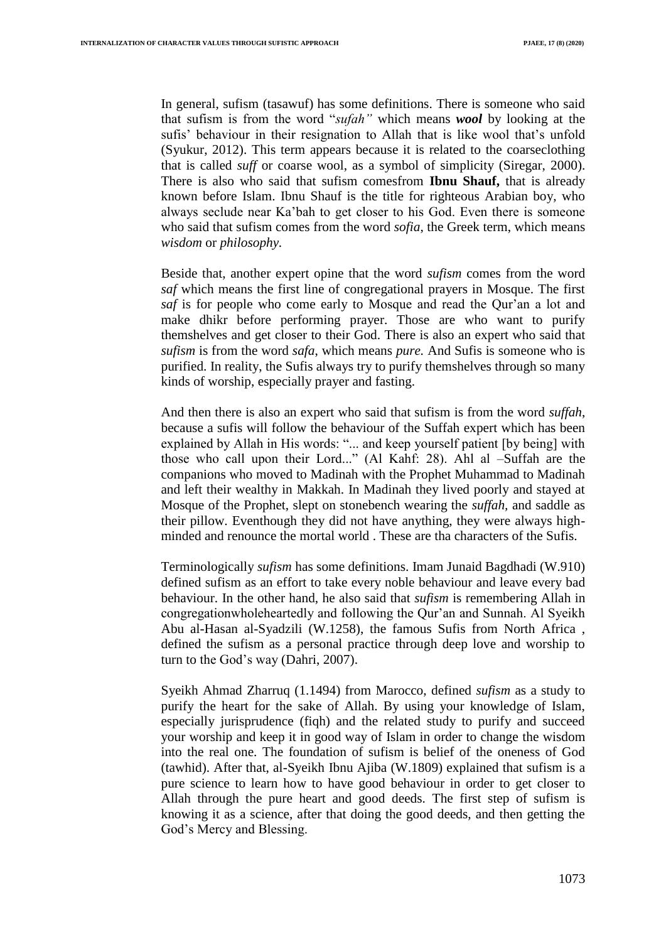In general, sufism (tasawuf) has some definitions. There is someone who said that sufism is from the word "*sufah"* which means *wool* by looking at the sufis' behaviour in their resignation to Allah that is like wool that's unfold (Syukur, 2012). This term appears because it is related to the coarseclothing that is called *suff* or coarse wool, as a symbol of simplicity (Siregar, 2000). There is also who said that sufism comesfrom **Ibnu Shauf,** that is already known before Islam. Ibnu Shauf is the title for righteous Arabian boy, who always seclude near Ka"bah to get closer to his God. Even there is someone who said that sufism comes from the word *sofia*, the Greek term, which means *wisdom* or *philosophy.*

Beside that, another expert opine that the word *sufism* comes from the word *saf* which means the first line of congregational prayers in Mosque. The first *saf* is for people who come early to Mosque and read the Qur"an a lot and make dhikr before performing prayer. Those are who want to purify themshelves and get closer to their God. There is also an expert who said that *sufism* is from the word *safa*, which means *pure.* And Sufis is someone who is purified. In reality, the Sufis always try to purify themshelves through so many kinds of worship, especially prayer and fasting.

And then there is also an expert who said that sufism is from the word *suffah*, because a sufis will follow the behaviour of the Suffah expert which has been explained by Allah in His words: "... and keep yourself patient [by being] with those who call upon their Lord..." (Al Kahf: 28). Ahl al –Suffah are the companions who moved to Madinah with the Prophet Muhammad to Madinah and left their wealthy in Makkah. In Madinah they lived poorly and stayed at Mosque of the Prophet, slept on stonebench wearing the *suffah,* and saddle as their pillow. Eventhough they did not have anything, they were always highminded and renounce the mortal world . These are tha characters of the Sufis.

Terminologically *sufism* has some definitions. Imam Junaid Bagdhadi (W.910) defined sufism as an effort to take every noble behaviour and leave every bad behaviour. In the other hand, he also said that *sufism* is remembering Allah in congregationwholeheartedly and following the Qur"an and Sunnah. Al Syeikh Abu al-Hasan al-Syadzili (W.1258), the famous Sufis from North Africa , defined the sufism as a personal practice through deep love and worship to turn to the God"s way (Dahri, 2007).

Syeikh Ahmad Zharruq (1.1494) from Marocco, defined *sufism* as a study to purify the heart for the sake of Allah. By using your knowledge of Islam, especially jurisprudence (fiqh) and the related study to purify and succeed your worship and keep it in good way of Islam in order to change the wisdom into the real one. The foundation of sufism is belief of the oneness of God (tawhid). After that, al-Syeikh Ibnu Ajiba (W.1809) explained that sufism is a pure science to learn how to have good behaviour in order to get closer to Allah through the pure heart and good deeds. The first step of sufism is knowing it as a science, after that doing the good deeds, and then getting the God"s Mercy and Blessing.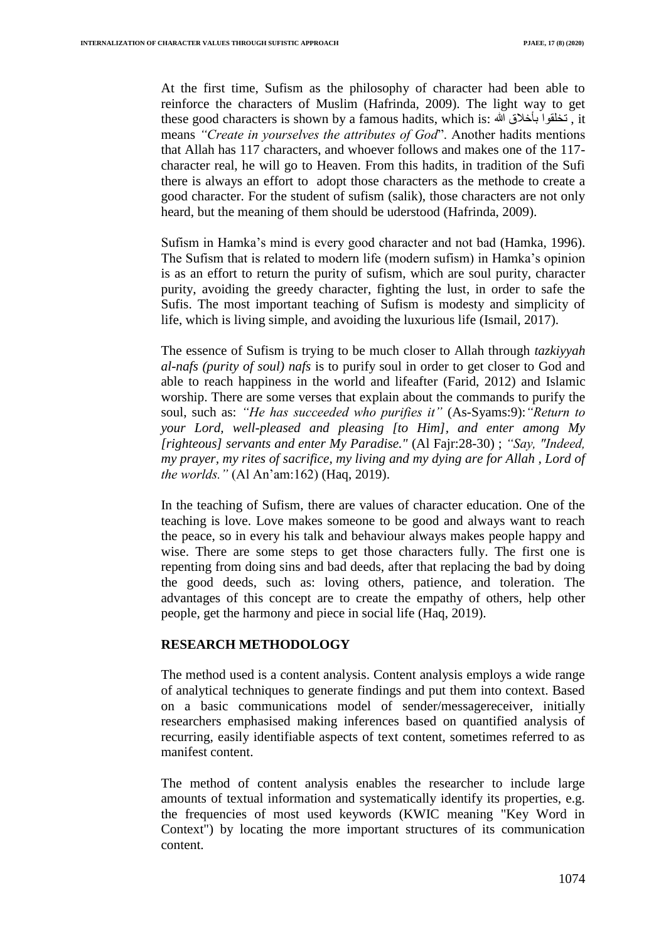At the first time, Sufism as the philosophy of character had been able to reinforce the characters of Muslim (Hafrinda, 2009). The light way to get these good characters is shown by a famous hadits, which is: هللا بأخالق تخلقوا , it means *"Create in yourselves the attributes of God*". Another hadits mentions that Allah has 117 characters, and whoever follows and makes one of the 117 character real, he will go to Heaven. From this hadits, in tradition of the Sufi there is always an effort to adopt those characters as the methode to create a good character. For the student of sufism (salik), those characters are not only heard, but the meaning of them should be uderstood (Hafrinda, 2009).

Sufism in Hamka"s mind is every good character and not bad (Hamka, 1996). The Sufism that is related to modern life (modern sufism) in Hamka"s opinion is as an effort to return the purity of sufism, which are soul purity, character purity, avoiding the greedy character, fighting the lust, in order to safe the Sufis. The most important teaching of Sufism is modesty and simplicity of life, which is living simple, and avoiding the luxurious life (Ismail, 2017).

The essence of Sufism is trying to be much closer to Allah through *tazkiyyah al-nafs (purity of soul) nafs* is to purify soul in order to get closer to God and able to reach happiness in the world and lifeafter (Farid, 2012) and Islamic worship. There are some verses that explain about the commands to purify the soul, such as: *"He has succeeded who purifies it"* (As-Syams:9):*"Return to your Lord, well-pleased and pleasing [to Him], and enter among My [righteous] servants and enter My Paradise."* (Al Fajr:28-30) ; *"Say, "Indeed, my prayer, my rites of sacrifice, my living and my dying are for Allah , Lord of the worlds."* (Al An"am:162) (Haq, 2019).

In the teaching of Sufism, there are values of character education. One of the teaching is love. Love makes someone to be good and always want to reach the peace, so in every his talk and behaviour always makes people happy and wise. There are some steps to get those characters fully. The first one is repenting from doing sins and bad deeds, after that replacing the bad by doing the good deeds, such as: loving others, patience, and toleration. The advantages of this concept are to create the empathy of others, help other people, get the harmony and piece in social life (Haq, 2019).

## **RESEARCH METHODOLOGY**

The method used is a content analysis. Content analysis employs a wide range of analytical techniques to generate findings and put them into context. Based on a basic communications model of sender/messagereceiver, initially researchers emphasised making inferences based on quantified analysis of recurring, easily identifiable aspects of text content, sometimes referred to as manifest content.

The method of content analysis enables the researcher to include large amounts of textual information and systematically identify its properties, e.g. the frequencies of most used keywords (KWIC meaning "Key Word in Context") by locating the more important structures of its communication content.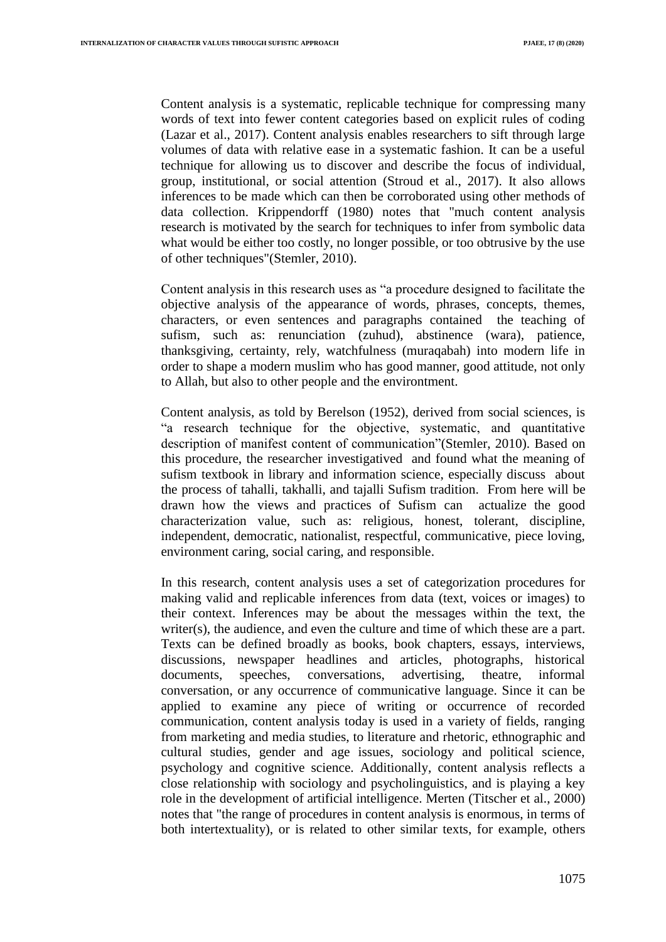Content analysis is a systematic, replicable technique for compressing many words of text into fewer content categories based on explicit rules of coding (Lazar et al., 2017). Content analysis enables researchers to sift through large volumes of data with relative ease in a systematic fashion. It can be a useful technique for allowing us to discover and describe the focus of individual, group, institutional, or social attention (Stroud et al., 2017). It also allows inferences to be made which can then be corroborated using other methods of data collection. Krippendorff (1980) notes that "much content analysis research is motivated by the search for techniques to infer from symbolic data what would be either too costly, no longer possible, or too obtrusive by the use of other techniques"(Stemler, 2010).

Content analysis in this research uses as "a procedure designed to facilitate the objective analysis of the appearance of words, phrases, concepts, themes, characters, or even sentences and paragraphs contained the teaching of sufism, such as: renunciation (zuhud), abstinence (wara), patience, thanksgiving, certainty, rely, watchfulness (muraqabah) into modern life in order to shape a modern muslim who has good manner, good attitude, not only to Allah, but also to other people and the environtment.

Content analysis, as told by Berelson (1952), derived from social sciences, is "a research technique for the objective, systematic, and quantitative description of manifest content of communication"(Stemler, 2010). Based on this procedure, the researcher investigatived and found what the meaning of sufism textbook in library and information science, especially discuss about the process of tahalli, takhalli, and tajalli Sufism tradition. From here will be drawn how the views and practices of Sufism can actualize the good characterization value, such as: religious, honest, tolerant, discipline, independent, democratic, nationalist, respectful, communicative, piece loving, environment caring, social caring, and responsible.

In this research, content analysis uses a set of categorization procedures for making valid and replicable inferences from data (text, voices or images) to their context. Inferences may be about the messages within the text, the writer(s), the audience, and even the culture and time of which these are a part. Texts can be defined broadly as books, book chapters, essays, interviews, discussions, newspaper headlines and articles, photographs, historical documents, speeches, conversations, advertising, theatre, informal conversation, or any occurrence of communicative language. Since it can be applied to examine any piece of writing or occurrence of recorded communication, content analysis today is used in a variety of fields, ranging from marketing and media studies, to literature and rhetoric, ethnographic and cultural studies, gender and age issues, sociology and political science, psychology and cognitive science. Additionally, content analysis reflects a close relationship with sociology and psycholinguistics, and is playing a key role in the development of artificial intelligence. Merten (Titscher et al., 2000) notes that "the range of procedures in content analysis is enormous, in terms of both intertextuality), or is related to other similar texts, for example, others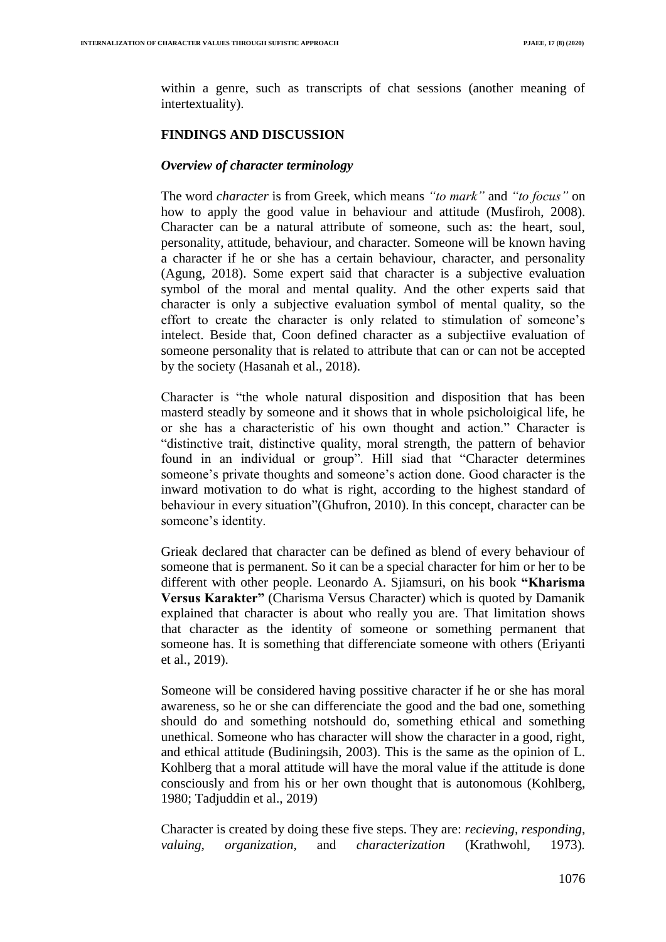within a genre, such as transcripts of chat sessions (another meaning of intertextuality).

## **FINDINGS AND DISCUSSION**

### *Overview of character terminology*

The word *character* is from Greek, which means *"to mark"* and *"to focus"* on how to apply the good value in behaviour and attitude (Musfiroh, 2008). Character can be a natural attribute of someone, such as: the heart, soul, personality, attitude, behaviour, and character. Someone will be known having a character if he or she has a certain behaviour, character, and personality (Agung, 2018). Some expert said that character is a subjective evaluation symbol of the moral and mental quality. And the other experts said that character is only a subjective evaluation symbol of mental quality, so the effort to create the character is only related to stimulation of someone"s intelect. Beside that, Coon defined character as a subjectiive evaluation of someone personality that is related to attribute that can or can not be accepted by the society (Hasanah et al., 2018).

Character is "the whole natural disposition and disposition that has been masterd steadly by someone and it shows that in whole psicholoigical life, he or she has a characteristic of his own thought and action." Character is "distinctive trait, distinctive quality, moral strength, the pattern of behavior found in an individual or group". Hill siad that "Character determines someone's private thoughts and someone's action done. Good character is the inward motivation to do what is right, according to the highest standard of behaviour in every situation"(Ghufron, 2010). In this concept, character can be someone's identity.

Grieak declared that character can be defined as blend of every behaviour of someone that is permanent. So it can be a special character for him or her to be different with other people. Leonardo A. Sjiamsuri, on his book **"Kharisma Versus Karakter"** (Charisma Versus Character) which is quoted by Damanik explained that character is about who really you are. That limitation shows that character as the identity of someone or something permanent that someone has. It is something that differenciate someone with others (Eriyanti et al., 2019).

Someone will be considered having possitive character if he or she has moral awareness, so he or she can differenciate the good and the bad one, something should do and something notshould do, something ethical and something unethical. Someone who has character will show the character in a good, right, and ethical attitude (Budiningsih, 2003). This is the same as the opinion of L. Kohlberg that a moral attitude will have the moral value if the attitude is done consciously and from his or her own thought that is autonomous (Kohlberg, 1980; Tadjuddin et al., 2019)

Character is created by doing these five steps. They are: *recieving, responding, valuing, organization,* and *characterization* (Krathwohl, 1973)*.*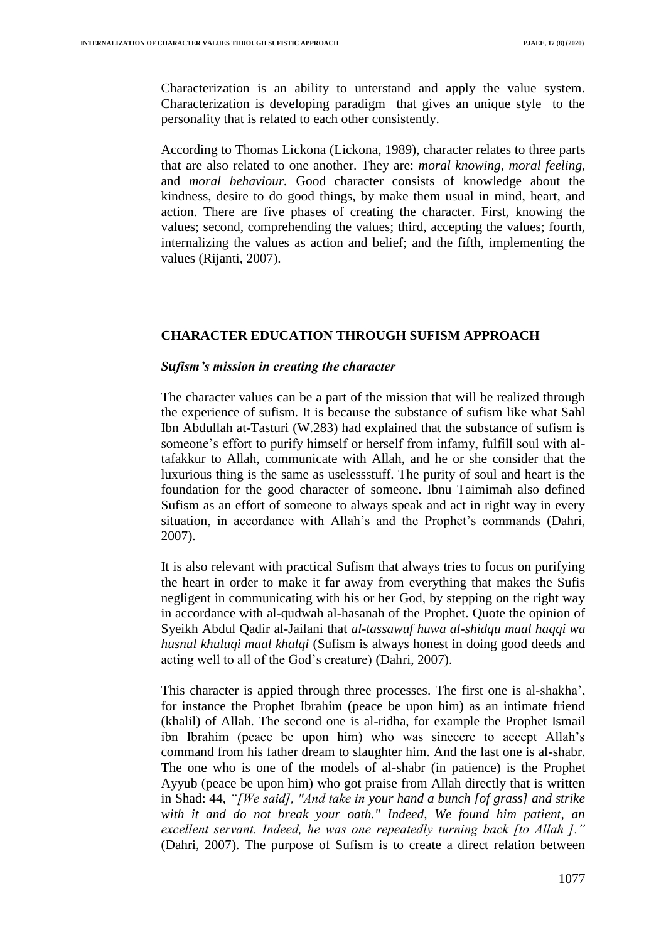Characterization is an ability to unterstand and apply the value system. Characterization is developing paradigm that gives an unique style to the personality that is related to each other consistently.

According to Thomas Lickona (Lickona, 1989), character relates to three parts that are also related to one another. They are: *moral knowing, moral feeling,*  and *moral behaviour.* Good character consists of knowledge about the kindness, desire to do good things, by make them usual in mind, heart, and action. There are five phases of creating the character. First, knowing the values; second, comprehending the values; third, accepting the values; fourth, internalizing the values as action and belief; and the fifth, implementing the values (Rijanti, 2007).

## **CHARACTER EDUCATION THROUGH SUFISM APPROACH**

## *Sufism's mission in creating the character*

The character values can be a part of the mission that will be realized through the experience of sufism. It is because the substance of sufism like what Sahl Ibn Abdullah at-Tasturi (W.283) had explained that the substance of sufism is someone's effort to purify himself or herself from infamy, fulfill soul with altafakkur to Allah, communicate with Allah, and he or she consider that the luxurious thing is the same as uselessstuff. The purity of soul and heart is the foundation for the good character of someone. Ibnu Taimimah also defined Sufism as an effort of someone to always speak and act in right way in every situation, in accordance with Allah's and the Prophet's commands (Dahri, 2007).

It is also relevant with practical Sufism that always tries to focus on purifying the heart in order to make it far away from everything that makes the Sufis negligent in communicating with his or her God, by stepping on the right way in accordance with al-qudwah al-hasanah of the Prophet. Quote the opinion of Syeikh Abdul Qadir al-Jailani that *al-tassawuf huwa al-shidqu maal haqqi wa husnul khuluqi maal khalqi* (Sufism is always honest in doing good deeds and acting well to all of the God"s creature) (Dahri, 2007).

This character is appied through three processes. The first one is al-shakha", for instance the Prophet Ibrahim (peace be upon him) as an intimate friend (khalil) of Allah. The second one is al-ridha, for example the Prophet Ismail ibn Ibrahim (peace be upon him) who was sinecere to accept Allah"s command from his father dream to slaughter him. And the last one is al-shabr. The one who is one of the models of al-shabr (in patience) is the Prophet Ayyub (peace be upon him) who got praise from Allah directly that is written in Shad: 44, *"[We said], "And take in your hand a bunch [of grass] and strike with it and do not break your oath." Indeed, We found him patient, an excellent servant. Indeed, he was one repeatedly turning back [to Allah ]."* (Dahri, 2007). The purpose of Sufism is to create a direct relation between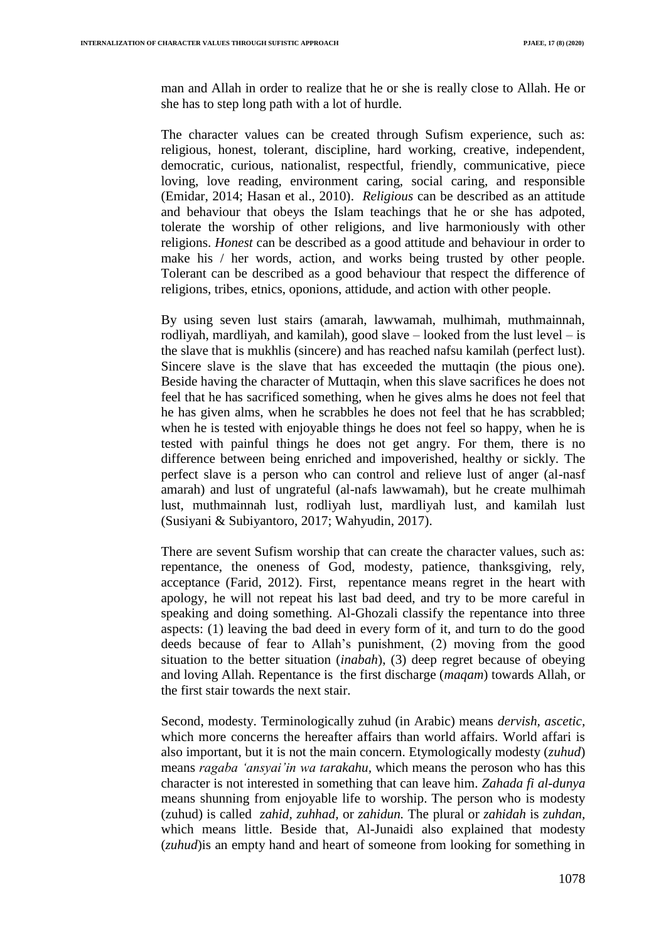man and Allah in order to realize that he or she is really close to Allah. He or she has to step long path with a lot of hurdle.

The character values can be created through Sufism experience, such as: religious, honest, tolerant, discipline, hard working, creative, independent, democratic, curious, nationalist, respectful, friendly, communicative, piece loving, love reading, environment caring, social caring, and responsible (Emidar, 2014; Hasan et al., 2010). *Religious* can be described as an attitude and behaviour that obeys the Islam teachings that he or she has adpoted, tolerate the worship of other religions, and live harmoniously with other religions. *Honest* can be described as a good attitude and behaviour in order to make his / her words, action, and works being trusted by other people. Tolerant can be described as a good behaviour that respect the difference of religions, tribes, etnics, oponions, attidude, and action with other people.

By using seven lust stairs (amarah, lawwamah, mulhimah, muthmainnah, rodliyah, mardliyah, and kamilah), good slave – looked from the lust level – is the slave that is mukhlis (sincere) and has reached nafsu kamilah (perfect lust). Sincere slave is the slave that has exceeded the muttaqin (the pious one). Beside having the character of Muttaqin, when this slave sacrifices he does not feel that he has sacrificed something, when he gives alms he does not feel that he has given alms, when he scrabbles he does not feel that he has scrabbled; when he is tested with enjoyable things he does not feel so happy, when he is tested with painful things he does not get angry. For them, there is no difference between being enriched and impoverished, healthy or sickly. The perfect slave is a person who can control and relieve lust of anger (al-nasf amarah) and lust of ungrateful (al-nafs lawwamah), but he create mulhimah lust, muthmainnah lust, rodliyah lust, mardliyah lust, and kamilah lust (Susiyani & Subiyantoro, 2017; Wahyudin, 2017).

There are sevent Sufism worship that can create the character values, such as: repentance, the oneness of God, modesty, patience, thanksgiving, rely, acceptance (Farid, 2012). First, repentance means regret in the heart with apology, he will not repeat his last bad deed, and try to be more careful in speaking and doing something. Al-Ghozali classify the repentance into three aspects: (1) leaving the bad deed in every form of it, and turn to do the good deeds because of fear to Allah"s punishment, (2) moving from the good situation to the better situation (*inabah*), (3) deep regret because of obeying and loving Allah. Repentance is the first discharge (*maqam*) towards Allah, or the first stair towards the next stair.

Second, modesty. Terminologically zuhud (in Arabic) means *dervish, ascetic,*  which more concerns the hereafter affairs than world affairs. World affari is also important, but it is not the main concern. Etymologically modesty (*zuhud*) means *ragaba "ansyai"in wa tarakahu,* which means the peroson who has this character is not interested in something that can leave him. *Zahada fi al-dunya*  means shunning from enjoyable life to worship. The person who is modesty (zuhud) is called *zahid, zuhhad,* or *zahidun.* The plural or *zahidah* is *zuhdan,*  which means little. Beside that, Al-Junaidi also explained that modesty (*zuhud*)is an empty hand and heart of someone from looking for something in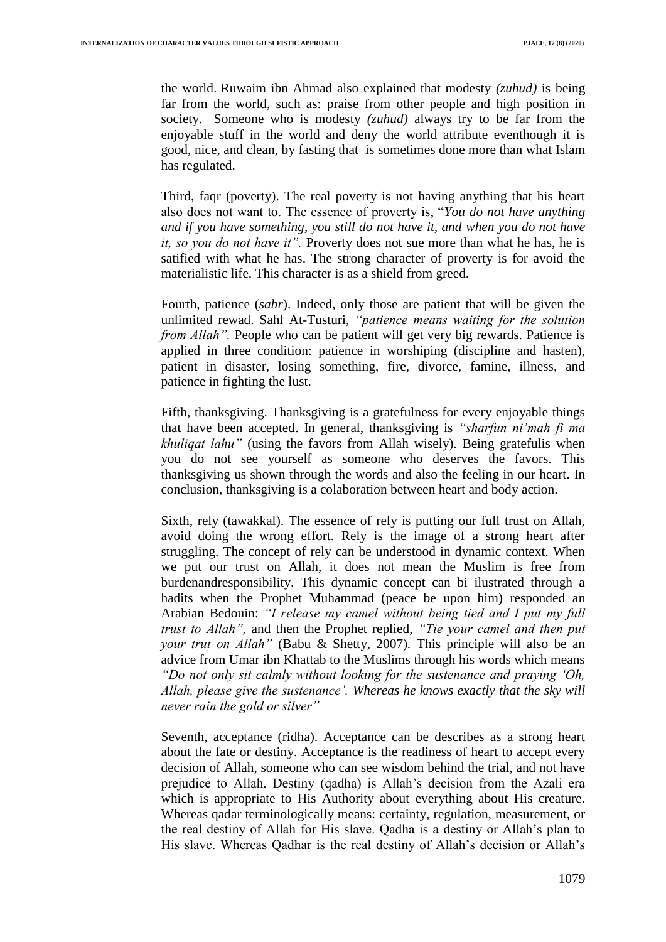the world. Ruwaim ibn Ahmad also explained that modesty *(zuhud)* is being far from the world, such as: praise from other people and high position in society. Someone who is modesty *(zuhud)* always try to be far from the enjoyable stuff in the world and deny the world attribute eventhough it is good, nice, and clean, by fasting that is sometimes done more than what Islam has regulated.

Third, faqr (poverty). The real poverty is not having anything that his heart also does not want to. The essence of proverty is, "*You do not have anything and if you have something, you still do not have it, and when you do not have it, so you do not have it".* Proverty does not sue more than what he has, he is satified with what he has. The strong character of proverty is for avoid the materialistic life. This character is as a shield from greed.

Fourth, patience (*sabr*). Indeed, only those are patient that will be given the unlimited rewad. Sahl At-Tusturi, *"patience means waiting for the solution from Allah*". People who can be patient will get very big rewards. Patience is applied in three condition: patience in worshiping (discipline and hasten), patient in disaster, losing something, fire, divorce, famine, illness, and patience in fighting the lust.

Fifth, thanksgiving. Thanksgiving is a gratefulness for every enjoyable things that have been accepted. In general, thanksgiving is *"sharfun ni"mah fi ma khuliqat lahu"* (using the favors from Allah wisely). Being gratefulis when you do not see yourself as someone who deserves the favors. This thanksgiving us shown through the words and also the feeling in our heart. In conclusion, thanksgiving is a colaboration between heart and body action.

Sixth, rely (tawakkal). The essence of rely is putting our full trust on Allah, avoid doing the wrong effort. Rely is the image of a strong heart after struggling. The concept of rely can be understood in dynamic context. When we put our trust on Allah, it does not mean the Muslim is free from burdenandresponsibility. This dynamic concept can bi ilustrated through a hadits when the Prophet Muhammad (peace be upon him) responded an Arabian Bedouin: *"I release my camel without being tied and I put my full trust to Allah",* and then the Prophet replied, *"Tie your camel and then put your trut on Allah"* (Babu & Shetty, 2007)*.* This principle will also be an advice from Umar ibn Khattab to the Muslims through his words which means *"Do not only sit calmly without looking for the sustenance and praying "Oh, Allah, please give the sustenance". Whereas he knows exactly that the sky will never rain the gold or silver"*

Seventh, acceptance (ridha). Acceptance can be describes as a strong heart about the fate or destiny. Acceptance is the readiness of heart to accept every decision of Allah, someone who can see wisdom behind the trial, and not have prejudice to Allah. Destiny (qadha) is Allah"s decision from the Azali era which is appropriate to His Authority about everything about His creature. Whereas qadar terminologically means: certainty, regulation, measurement, or the real destiny of Allah for His slave. Qadha is a destiny or Allah"s plan to His slave. Whereas Qadhar is the real destiny of Allah's decision or Allah's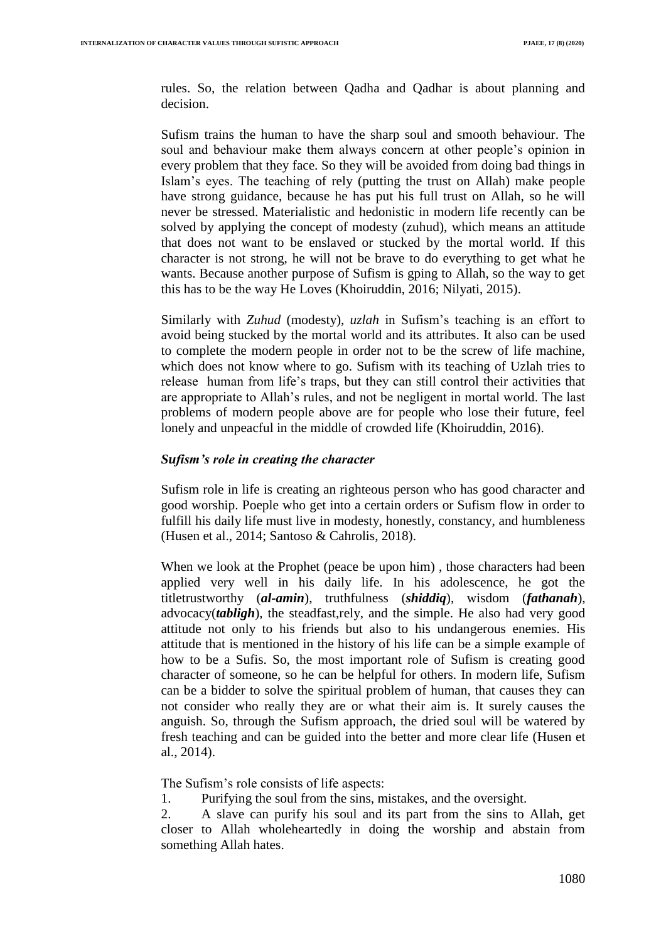rules. So, the relation between Qadha and Qadhar is about planning and decision.

Sufism trains the human to have the sharp soul and smooth behaviour. The soul and behaviour make them always concern at other people"s opinion in every problem that they face. So they will be avoided from doing bad things in Islam"s eyes. The teaching of rely (putting the trust on Allah) make people have strong guidance, because he has put his full trust on Allah, so he will never be stressed. Materialistic and hedonistic in modern life recently can be solved by applying the concept of modesty (zuhud), which means an attitude that does not want to be enslaved or stucked by the mortal world. If this character is not strong, he will not be brave to do everything to get what he wants. Because another purpose of Sufism is gping to Allah, so the way to get this has to be the way He Loves (Khoiruddin, 2016; Nilyati, 2015).

Similarly with *Zuhud* (modesty), *uzlah* in Sufism's teaching is an effort to avoid being stucked by the mortal world and its attributes. It also can be used to complete the modern people in order not to be the screw of life machine, which does not know where to go. Sufism with its teaching of Uzlah tries to release human from life"s traps, but they can still control their activities that are appropriate to Allah"s rules, and not be negligent in mortal world. The last problems of modern people above are for people who lose their future, feel lonely and unpeacful in the middle of crowded life (Khoiruddin, 2016).

#### *Sufism's role in creating the character*

Sufism role in life is creating an righteous person who has good character and good worship. Poeple who get into a certain orders or Sufism flow in order to fulfill his daily life must live in modesty, honestly, constancy, and humbleness (Husen et al., 2014; Santoso & Cahrolis, 2018).

When we look at the Prophet (peace be upon him) , those characters had been applied very well in his daily life. In his adolescence, he got the titletrustworthy (*al-amin*), truthfulness (*shiddiq*), wisdom (*fathanah*), advocacy(*tabligh*), the steadfast,rely, and the simple. He also had very good attitude not only to his friends but also to his undangerous enemies. His attitude that is mentioned in the history of his life can be a simple example of how to be a Sufis. So, the most important role of Sufism is creating good character of someone, so he can be helpful for others. In modern life, Sufism can be a bidder to solve the spiritual problem of human, that causes they can not consider who really they are or what their aim is. It surely causes the anguish. So, through the Sufism approach, the dried soul will be watered by fresh teaching and can be guided into the better and more clear life (Husen et al., 2014).

The Sufism"s role consists of life aspects:

1. Purifying the soul from the sins, mistakes, and the oversight.

2. A slave can purify his soul and its part from the sins to Allah, get closer to Allah wholeheartedly in doing the worship and abstain from something Allah hates.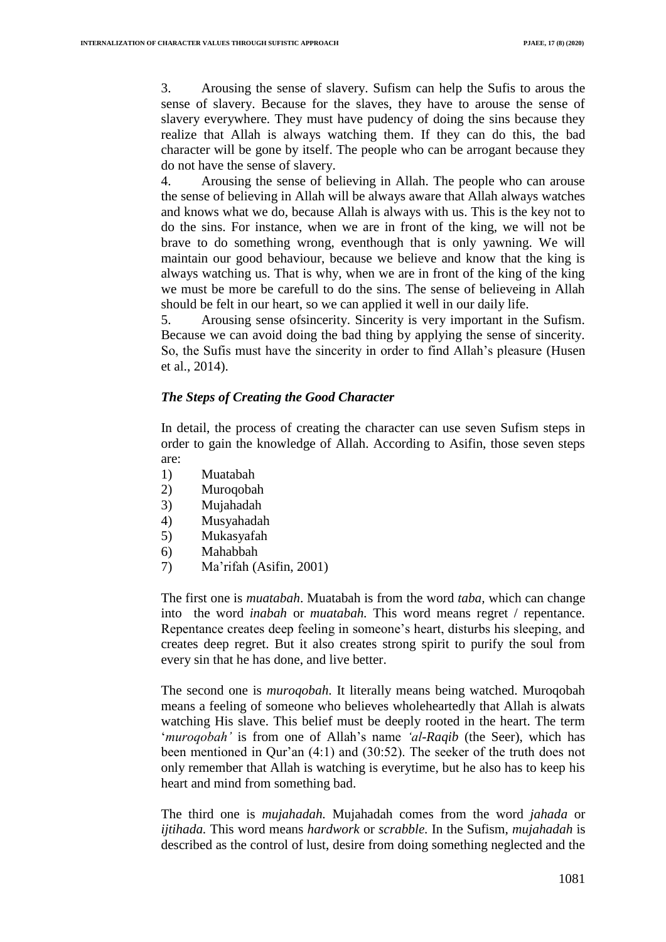3. Arousing the sense of slavery. Sufism can help the Sufis to arous the sense of slavery. Because for the slaves, they have to arouse the sense of slavery everywhere. They must have pudency of doing the sins because they realize that Allah is always watching them. If they can do this, the bad character will be gone by itself. The people who can be arrogant because they do not have the sense of slavery.

4. Arousing the sense of believing in Allah. The people who can arouse the sense of believing in Allah will be always aware that Allah always watches and knows what we do, because Allah is always with us. This is the key not to do the sins. For instance, when we are in front of the king, we will not be brave to do something wrong, eventhough that is only yawning. We will maintain our good behaviour, because we believe and know that the king is always watching us. That is why, when we are in front of the king of the king we must be more be carefull to do the sins. The sense of believeing in Allah should be felt in our heart, so we can applied it well in our daily life.

5. Arousing sense ofsincerity. Sincerity is very important in the Sufism. Because we can avoid doing the bad thing by applying the sense of sincerity. So, the Sufis must have the sincerity in order to find Allah"s pleasure (Husen et al., 2014).

## *The Steps of Creating the Good Character*

In detail, the process of creating the character can use seven Sufism steps in order to gain the knowledge of Allah. According to Asifin, those seven steps are:

- 1) Muatabah
- 2) Muroqobah
- 3) Mujahadah
- 4) Musyahadah
- 5) Mukasyafah
- 6) Mahabbah
- 7) Ma"rifah (Asifin, 2001)

The first one is *muatabah*. Muatabah is from the word *taba,* which can change into the word *inabah* or *muatabah.* This word means regret / repentance. Repentance creates deep feeling in someone's heart, disturbs his sleeping, and creates deep regret. But it also creates strong spirit to purify the soul from every sin that he has done, and live better.

The second one is *muroqobah*. It literally means being watched. Muroqobah means a feeling of someone who believes wholeheartedly that Allah is alwats watching His slave. This belief must be deeply rooted in the heart. The term "*muroqobah"* is from one of Allah"s name *"al-Raqib* (the Seer), which has been mentioned in Qur'an (4:1) and (30:52). The seeker of the truth does not only remember that Allah is watching is everytime, but he also has to keep his heart and mind from something bad.

The third one is *mujahadah.* Mujahadah comes from the word *jahada* or *ijtihada.* This word means *hardwork* or *scrabble.* In the Sufism, *mujahadah* is described as the control of lust, desire from doing something neglected and the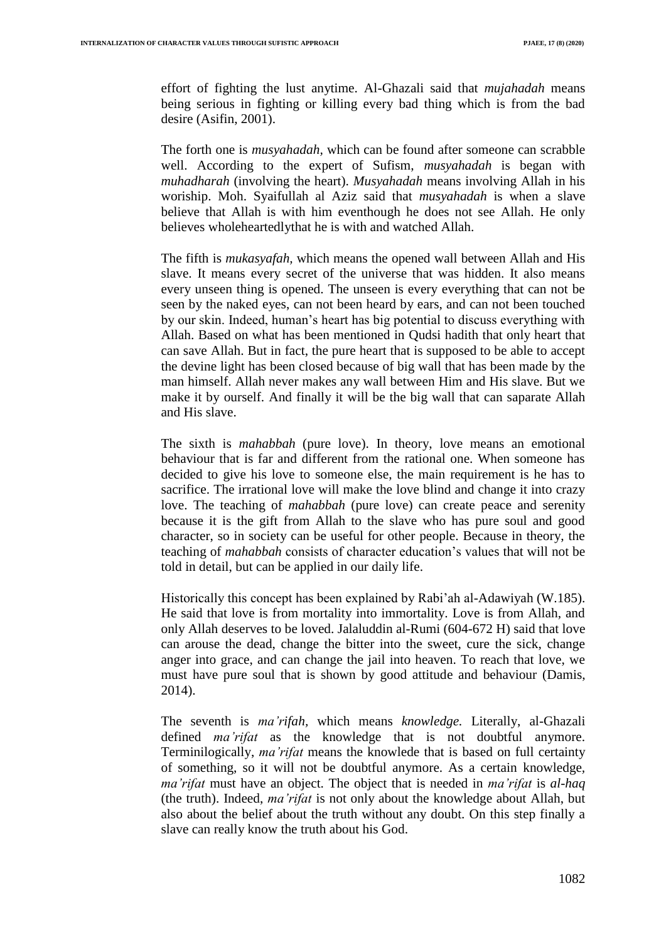effort of fighting the lust anytime. Al-Ghazali said that *mujahadah* means being serious in fighting or killing every bad thing which is from the bad desire (Asifin, 2001).

The forth one is *musyahadah,* which can be found after someone can scrabble well. According to the expert of Sufism, *musyahadah* is began with *muhadharah* (involving the heart). *Musyahadah* means involving Allah in his woriship. Moh. Syaifullah al Aziz said that *musyahadah* is when a slave believe that Allah is with him eventhough he does not see Allah. He only believes wholeheartedlythat he is with and watched Allah.

The fifth is *mukasyafah,* which means the opened wall between Allah and His slave. It means every secret of the universe that was hidden. It also means every unseen thing is opened. The unseen is every everything that can not be seen by the naked eyes, can not been heard by ears, and can not been touched by our skin. Indeed, human"s heart has big potential to discuss everything with Allah. Based on what has been mentioned in Qudsi hadith that only heart that can save Allah. But in fact, the pure heart that is supposed to be able to accept the devine light has been closed because of big wall that has been made by the man himself. Allah never makes any wall between Him and His slave. But we make it by ourself. And finally it will be the big wall that can saparate Allah and His slave.

The sixth is *mahabbah* (pure love). In theory, love means an emotional behaviour that is far and different from the rational one. When someone has decided to give his love to someone else, the main requirement is he has to sacrifice. The irrational love will make the love blind and change it into crazy love. The teaching of *mahabbah* (pure love) can create peace and serenity because it is the gift from Allah to the slave who has pure soul and good character, so in society can be useful for other people. Because in theory, the teaching of *mahabbah* consists of character education"s values that will not be told in detail, but can be applied in our daily life.

Historically this concept has been explained by Rabi"ah al-Adawiyah (W.185). He said that love is from mortality into immortality. Love is from Allah, and only Allah deserves to be loved. Jalaluddin al-Rumi (604-672 H) said that love can arouse the dead, change the bitter into the sweet, cure the sick, change anger into grace, and can change the jail into heaven. To reach that love, we must have pure soul that is shown by good attitude and behaviour (Damis, 2014).

The seventh is *ma"rifah,* which means *knowledge.* Literally, al-Ghazali defined *ma"rifat* as the knowledge that is not doubtful anymore. Terminilogically, *ma"rifat* means the knowlede that is based on full certainty of something, so it will not be doubtful anymore. As a certain knowledge*, ma"rifat* must have an object. The object that is needed in *ma"rifat* is *al-haq*  (the truth). Indeed, *ma"rifat* is not only about the knowledge about Allah, but also about the belief about the truth without any doubt. On this step finally a slave can really know the truth about his God.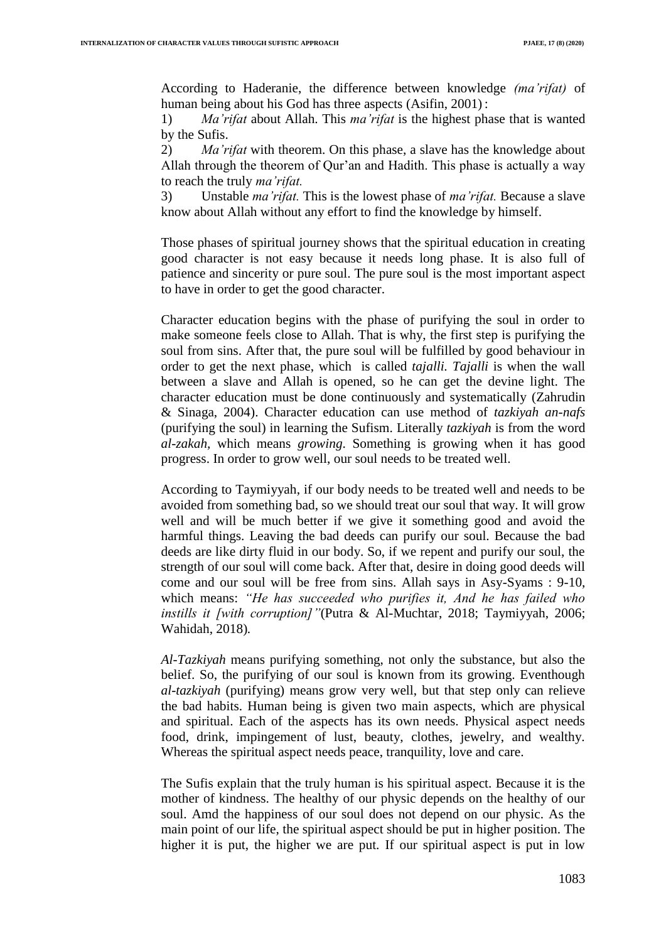According to Haderanie, the difference between knowledge *(ma"rifat)* of human being about his God has three aspects (Asifin, 2001) :

1) *Ma"rifat* about Allah. This *ma"rifat* is the highest phase that is wanted by the Sufis.

2) *Ma"rifat* with theorem. On this phase, a slave has the knowledge about Allah through the theorem of Qur'an and Hadith. This phase is actually a way to reach the truly *ma"rifat.*

3) Unstable *ma"rifat.* This is the lowest phase of *ma"rifat.* Because a slave know about Allah without any effort to find the knowledge by himself.

Those phases of spiritual journey shows that the spiritual education in creating good character is not easy because it needs long phase. It is also full of patience and sincerity or pure soul. The pure soul is the most important aspect to have in order to get the good character.

Character education begins with the phase of purifying the soul in order to make someone feels close to Allah. That is why, the first step is purifying the soul from sins. After that, the pure soul will be fulfilled by good behaviour in order to get the next phase, which is called *tajalli. Tajalli* is when the wall between a slave and Allah is opened, so he can get the devine light. The character education must be done continuously and systematically (Zahrudin & Sinaga, 2004). Character education can use method of *tazkiyah an-nafs*  (purifying the soul) in learning the Sufism. Literally *tazkiyah* is from the word *al-zakah,* which means *growing*. Something is growing when it has good progress. In order to grow well, our soul needs to be treated well.

According to Taymiyyah, if our body needs to be treated well and needs to be avoided from something bad, so we should treat our soul that way. It will grow well and will be much better if we give it something good and avoid the harmful things. Leaving the bad deeds can purify our soul. Because the bad deeds are like dirty fluid in our body. So, if we repent and purify our soul, the strength of our soul will come back. After that, desire in doing good deeds will come and our soul will be free from sins. Allah says in Asy-Syams : 9-10, which means: *"He has succeeded who purifies it, And he has failed who instills it [with corruption]"*(Putra & Al-Muchtar, 2018; Taymiyyah, 2006; Wahidah, 2018)*.*

*Al-Tazkiyah* means purifying something, not only the substance, but also the belief. So, the purifying of our soul is known from its growing. Eventhough *al-tazkiyah* (purifying) means grow very well, but that step only can relieve the bad habits. Human being is given two main aspects, which are physical and spiritual. Each of the aspects has its own needs. Physical aspect needs food, drink, impingement of lust, beauty, clothes, jewelry, and wealthy. Whereas the spiritual aspect needs peace, tranquility, love and care.

The Sufis explain that the truly human is his spiritual aspect. Because it is the mother of kindness. The healthy of our physic depends on the healthy of our soul. Amd the happiness of our soul does not depend on our physic. As the main point of our life, the spiritual aspect should be put in higher position. The higher it is put, the higher we are put. If our spiritual aspect is put in low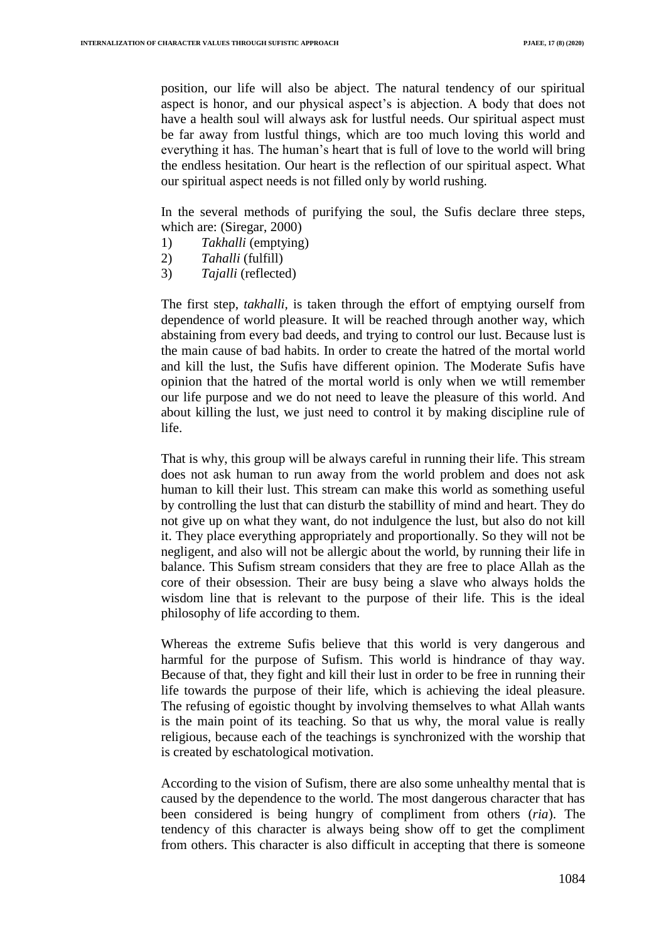position, our life will also be abject. The natural tendency of our spiritual aspect is honor, and our physical aspect's is abjection. A body that does not have a health soul will always ask for lustful needs. Our spiritual aspect must be far away from lustful things, which are too much loving this world and everything it has. The human's heart that is full of love to the world will bring the endless hesitation. Our heart is the reflection of our spiritual aspect. What our spiritual aspect needs is not filled only by world rushing.

In the several methods of purifying the soul, the Sufis declare three steps, which are: (Siregar, 2000)

- 1) *Takhalli* (emptying)
- 2) *Tahalli* (fulfill)
- 3) *Tajalli* (reflected)

The first step, *takhalli,* is taken through the effort of emptying ourself from dependence of world pleasure. It will be reached through another way, which abstaining from every bad deeds, and trying to control our lust. Because lust is the main cause of bad habits. In order to create the hatred of the mortal world and kill the lust, the Sufis have different opinion. The Moderate Sufis have opinion that the hatred of the mortal world is only when we wtill remember our life purpose and we do not need to leave the pleasure of this world. And about killing the lust, we just need to control it by making discipline rule of life.

That is why, this group will be always careful in running their life. This stream does not ask human to run away from the world problem and does not ask human to kill their lust. This stream can make this world as something useful by controlling the lust that can disturb the stabillity of mind and heart. They do not give up on what they want, do not indulgence the lust, but also do not kill it. They place everything appropriately and proportionally. So they will not be negligent, and also will not be allergic about the world, by running their life in balance. This Sufism stream considers that they are free to place Allah as the core of their obsession. Their are busy being a slave who always holds the wisdom line that is relevant to the purpose of their life. This is the ideal philosophy of life according to them.

Whereas the extreme Sufis believe that this world is very dangerous and harmful for the purpose of Sufism. This world is hindrance of thay way. Because of that, they fight and kill their lust in order to be free in running their life towards the purpose of their life, which is achieving the ideal pleasure. The refusing of egoistic thought by involving themselves to what Allah wants is the main point of its teaching. So that us why, the moral value is really religious, because each of the teachings is synchronized with the worship that is created by eschatological motivation.

According to the vision of Sufism, there are also some unhealthy mental that is caused by the dependence to the world. The most dangerous character that has been considered is being hungry of compliment from others (*ria*). The tendency of this character is always being show off to get the compliment from others. This character is also difficult in accepting that there is someone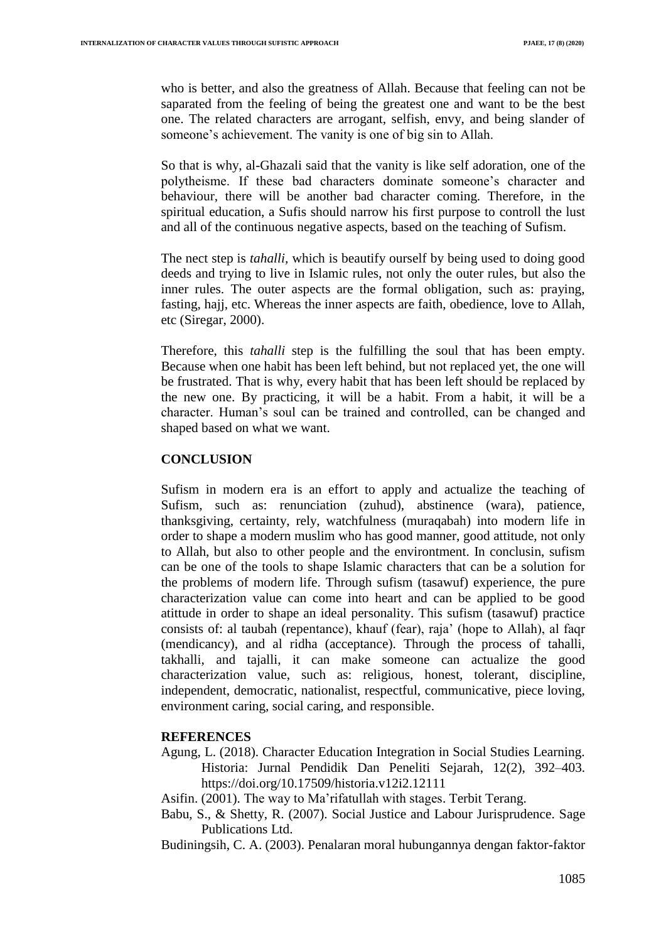who is better, and also the greatness of Allah. Because that feeling can not be saparated from the feeling of being the greatest one and want to be the best one. The related characters are arrogant, selfish, envy, and being slander of someone's achievement. The vanity is one of big sin to Allah.

So that is why, al-Ghazali said that the vanity is like self adoration, one of the polytheisme. If these bad characters dominate someone"s character and behaviour, there will be another bad character coming. Therefore, in the spiritual education, a Sufis should narrow his first purpose to controll the lust and all of the continuous negative aspects, based on the teaching of Sufism.

The nect step is *tahalli,* which is beautify ourself by being used to doing good deeds and trying to live in Islamic rules, not only the outer rules, but also the inner rules. The outer aspects are the formal obligation, such as: praying, fasting, hajj, etc. Whereas the inner aspects are faith, obedience, love to Allah, etc (Siregar, 2000).

Therefore, this *tahalli* step is the fulfilling the soul that has been empty. Because when one habit has been left behind, but not replaced yet, the one will be frustrated. That is why, every habit that has been left should be replaced by the new one. By practicing, it will be a habit. From a habit, it will be a character. Human"s soul can be trained and controlled, can be changed and shaped based on what we want.

## **CONCLUSION**

Sufism in modern era is an effort to apply and actualize the teaching of Sufism, such as: renunciation (zuhud), abstinence (wara), patience, thanksgiving, certainty, rely, watchfulness (muraqabah) into modern life in order to shape a modern muslim who has good manner, good attitude, not only to Allah, but also to other people and the environtment. In conclusin, sufism can be one of the tools to shape Islamic characters that can be a solution for the problems of modern life. Through sufism (tasawuf) experience, the pure characterization value can come into heart and can be applied to be good atittude in order to shape an ideal personality. This sufism (tasawuf) practice consists of: al taubah (repentance), khauf (fear), raja" (hope to Allah), al faqr (mendicancy), and al ridha (acceptance). Through the process of tahalli, takhalli, and tajalli, it can make someone can actualize the good characterization value, such as: religious, honest, tolerant, discipline, independent, democratic, nationalist, respectful, communicative, piece loving, environment caring, social caring, and responsible.

## **REFERENCES**

Agung, L. (2018). Character Education Integration in Social Studies Learning. Historia: Jurnal Pendidik Dan Peneliti Sejarah, 12(2), 392–403. https://doi.org/10.17509/historia.v12i2.12111

Asifin. (2001). The way to Ma"rifatullah with stages. Terbit Terang.

- Babu, S., & Shetty, R. (2007). Social Justice and Labour Jurisprudence. Sage Publications Ltd.
- Budiningsih, C. A. (2003). Penalaran moral hubungannya dengan faktor-faktor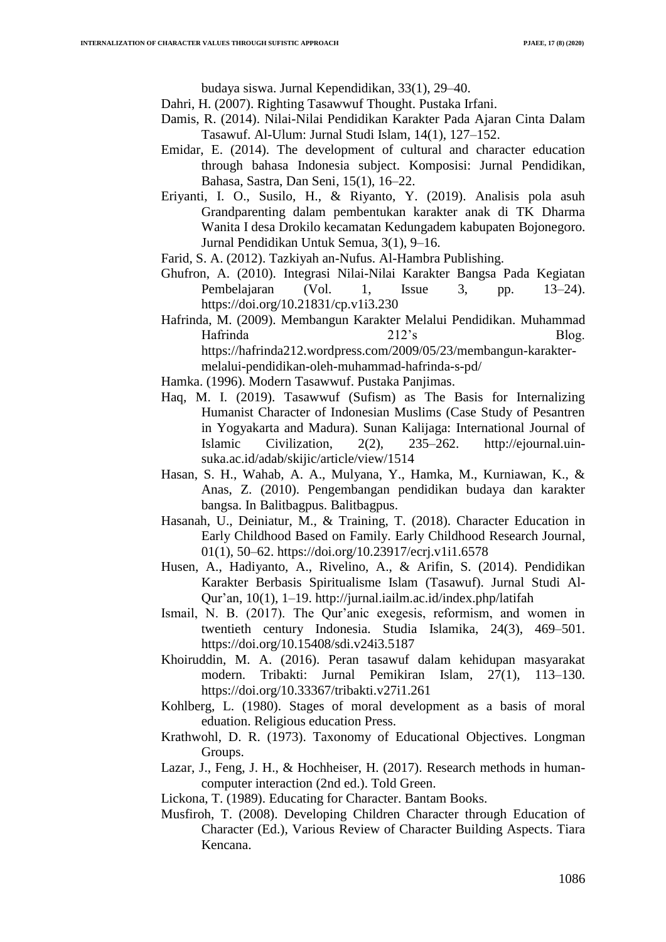budaya siswa. Jurnal Kependidikan, 33(1), 29–40.

- Dahri, H. (2007). Righting Tasawwuf Thought. Pustaka Irfani.
- Damis, R. (2014). Nilai-Nilai Pendidikan Karakter Pada Ajaran Cinta Dalam Tasawuf. Al-Ulum: Jurnal Studi Islam, 14(1), 127–152.
- Emidar, E. (2014). The development of cultural and character education through bahasa Indonesia subject. Komposisi: Jurnal Pendidikan, Bahasa, Sastra, Dan Seni, 15(1), 16–22.
- Eriyanti, I. O., Susilo, H., & Riyanto, Y. (2019). Analisis pola asuh Grandparenting dalam pembentukan karakter anak di TK Dharma Wanita I desa Drokilo kecamatan Kedungadem kabupaten Bojonegoro. Jurnal Pendidikan Untuk Semua, 3(1), 9–16.
- Farid, S. A. (2012). Tazkiyah an-Nufus. Al-Hambra Publishing.
- Ghufron, A. (2010). Integrasi Nilai-Nilai Karakter Bangsa Pada Kegiatan Pembelajaran (Vol. 1, Issue 3, pp. 13–24). https://doi.org/10.21831/cp.v1i3.230
- Hafrinda, M. (2009). Membangun Karakter Melalui Pendidikan. Muhammad Hafrinda 212's Blog. https://hafrinda212.wordpress.com/2009/05/23/membangun-karaktermelalui-pendidikan-oleh-muhammad-hafrinda-s-pd/
- Hamka. (1996). Modern Tasawwuf. Pustaka Panjimas.
- Haq, M. I. (2019). Tasawwuf (Sufism) as The Basis for Internalizing Humanist Character of Indonesian Muslims (Case Study of Pesantren in Yogyakarta and Madura). Sunan Kalijaga: International Journal of Islamic Civilization, 2(2), 235–262. http://ejournal.uinsuka.ac.id/adab/skijic/article/view/1514
- Hasan, S. H., Wahab, A. A., Mulyana, Y., Hamka, M., Kurniawan, K., & Anas, Z. (2010). Pengembangan pendidikan budaya dan karakter bangsa. In Balitbagpus. Balitbagpus.
- Hasanah, U., Deiniatur, M., & Training, T. (2018). Character Education in Early Childhood Based on Family. Early Childhood Research Journal, 01(1), 50–62. https://doi.org/10.23917/ecrj.v1i1.6578
- Husen, A., Hadiyanto, A., Rivelino, A., & Arifin, S. (2014). Pendidikan Karakter Berbasis Spiritualisme Islam (Tasawuf). Jurnal Studi Al-Qur"an, 10(1), 1–19. http://jurnal.iailm.ac.id/index.php/latifah
- Ismail, N. B. (2017). The Qur'anic exegesis, reformism, and women in twentieth century Indonesia. Studia Islamika, 24(3), 469–501. https://doi.org/10.15408/sdi.v24i3.5187
- Khoiruddin, M. A. (2016). Peran tasawuf dalam kehidupan masyarakat modern. Tribakti: Jurnal Pemikiran Islam, 27(1), 113–130. https://doi.org/10.33367/tribakti.v27i1.261
- Kohlberg, L. (1980). Stages of moral development as a basis of moral eduation. Religious education Press.
- Krathwohl, D. R. (1973). Taxonomy of Educational Objectives. Longman Groups.
- Lazar, J., Feng, J. H., & Hochheiser, H. (2017). Research methods in humancomputer interaction (2nd ed.). Told Green.
- Lickona, T. (1989). Educating for Character. Bantam Books.
- Musfiroh, T. (2008). Developing Children Character through Education of Character (Ed.), Various Review of Character Building Aspects. Tiara Kencana.